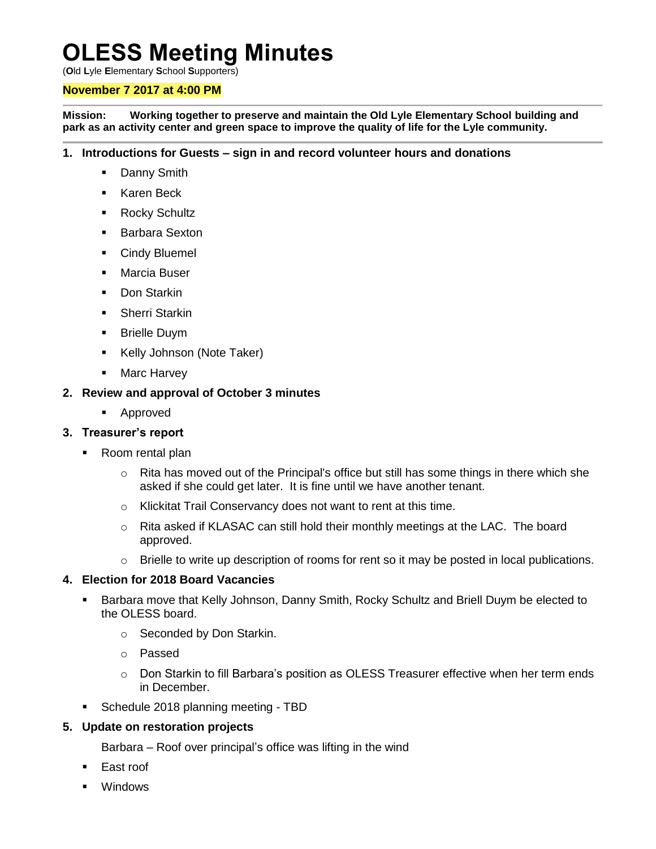# **OLESS Meeting Minutes**

(**O**ld **L**yle **E**lementary **S**chool **S**upporters)

### **November 7 2017 at 4:00 PM**

**Mission: Working together to preserve and maintain the Old Lyle Elementary School building and park as an activity center and green space to improve the quality of life for the Lyle community.**

#### **1. Introductions for Guests – sign in and record volunteer hours and donations**

- Danny Smith
- Karen Beck
- **Rocky Schultz**
- **Barbara Sexton**
- **Cindy Bluemel**
- Marcia Buser
- **Don Starkin**
- **Sherri Starkin**
- **Brielle Duym**
- Kelly Johnson (Note Taker)
- **Marc Harvey**

### **2. Review and approval of October 3 minutes**

**Approved** 

# **3. Treasurer's report**

- Room rental plan
	- $\circ$  Rita has moved out of the Principal's office but still has some things in there which she asked if she could get later. It is fine until we have another tenant.
	- o Klickitat Trail Conservancy does not want to rent at this time.
	- $\circ$  Rita asked if KLASAC can still hold their monthly meetings at the LAC. The board approved.
	- o Brielle to write up description of rooms for rent so it may be posted in local publications.

#### **4. Election for 2018 Board Vacancies**

- Barbara move that Kelly Johnson, Danny Smith, Rocky Schultz and Briell Duym be elected to the OLESS board.
	- o Seconded by Don Starkin.
	- o Passed
	- $\circ$  Don Starkin to fill Barbara's position as OLESS Treasurer effective when her term ends in December.
- **Schedule 2018 planning meeting TBD**

# **5. Update on restoration projects**

- Barbara Roof over principal's office was lifting in the wind
- East roof
- Windows